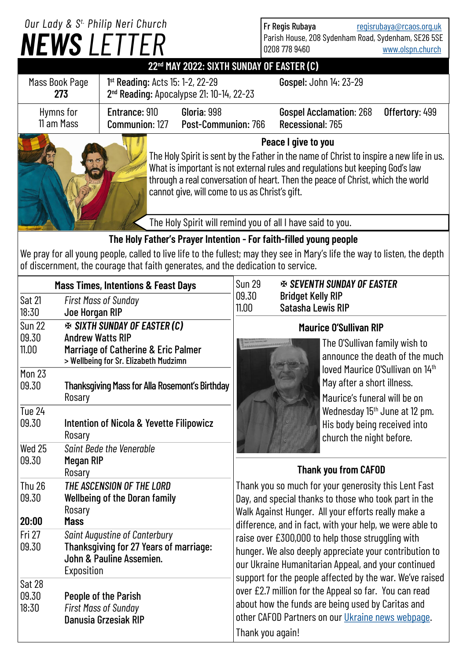|                                                                                                                                                                                                                                                                                                                                       |                                                                                                                          | Our Lady & S <sup>t.</sup> Philip Neri Church<br><b>NEWS LETTER</b>          |  |                                                                                                                                                                                                                                | Fr Regis Rubaya<br>0208 778 9460                                                                      |                                                                      |                                                                                                     | regisrubaya@rcaos.org.uk<br>Parish House, 208 Sydenham Road, Sydenham, SE26 5SE<br>www.olspn.church |                                                                                                               |  |
|---------------------------------------------------------------------------------------------------------------------------------------------------------------------------------------------------------------------------------------------------------------------------------------------------------------------------------------|--------------------------------------------------------------------------------------------------------------------------|------------------------------------------------------------------------------|--|--------------------------------------------------------------------------------------------------------------------------------------------------------------------------------------------------------------------------------|-------------------------------------------------------------------------------------------------------|----------------------------------------------------------------------|-----------------------------------------------------------------------------------------------------|-----------------------------------------------------------------------------------------------------|---------------------------------------------------------------------------------------------------------------|--|
| 22 <sup>nd</sup> MAY 2022: SIXTH SUNDAY OF EASTER (C)                                                                                                                                                                                                                                                                                 |                                                                                                                          |                                                                              |  |                                                                                                                                                                                                                                |                                                                                                       |                                                                      |                                                                                                     |                                                                                                     |                                                                                                               |  |
| 1st Reading: Acts 15: 1-2, 22-29<br>Mass Book Page<br>2 <sup>nd</sup> Reading: Apocalypse 21: 10-14, 22-23<br>273                                                                                                                                                                                                                     |                                                                                                                          |                                                                              |  |                                                                                                                                                                                                                                | Gospel: John 14: 23-29                                                                                |                                                                      |                                                                                                     |                                                                                                     |                                                                                                               |  |
| Hymns for<br>11 am Mass                                                                                                                                                                                                                                                                                                               |                                                                                                                          | Entrance: 910<br>Gloria: 998<br>Post-Communion: 766<br>Communion: 127        |  |                                                                                                                                                                                                                                |                                                                                                       | <b>Gospel Acclamation: 268</b><br>Offertory: 499<br>Recessional: 765 |                                                                                                     |                                                                                                     |                                                                                                               |  |
| Peace I give to you<br>The Holy Spirit is sent by the Father in the name of Christ to inspire a new life in us.<br>What is important is not external rules and regulations but keeping God's law<br>through a real conversation of heart. Then the peace of Christ, which the world<br>cannot give, will come to us as Christ's gift. |                                                                                                                          |                                                                              |  |                                                                                                                                                                                                                                |                                                                                                       |                                                                      |                                                                                                     |                                                                                                     |                                                                                                               |  |
| The Holy Spirit will remind you of all I have said to you.                                                                                                                                                                                                                                                                            |                                                                                                                          |                                                                              |  |                                                                                                                                                                                                                                |                                                                                                       |                                                                      |                                                                                                     |                                                                                                     |                                                                                                               |  |
| The Holy Father's Prayer Intention - For faith-filled young people<br>We pray for all young people, called to live life to the fullest; may they see in Mary's life the way to listen, the depth<br>of discernment, the courage that faith generates, and the dedication to service.                                                  |                                                                                                                          |                                                                              |  |                                                                                                                                                                                                                                |                                                                                                       |                                                                      |                                                                                                     |                                                                                                     |                                                                                                               |  |
| <b>Mass Times, Intentions &amp; Feast Days</b>                                                                                                                                                                                                                                                                                        |                                                                                                                          |                                                                              |  | <b>Sun 29</b>                                                                                                                                                                                                                  | <b>EX SEVENTH SUNDAY OF EASTER</b>                                                                    |                                                                      |                                                                                                     |                                                                                                     |                                                                                                               |  |
| <b>Sat 21</b>                                                                                                                                                                                                                                                                                                                         | <b>First Mass of Sunday</b>                                                                                              |                                                                              |  | 09.30<br>11.00                                                                                                                                                                                                                 |                                                                                                       | <b>Bridget Kelly RIP</b><br><b>Satasha Lewis RIP</b>                 |                                                                                                     |                                                                                                     |                                                                                                               |  |
| 18:30<br><b>Sun 22</b>                                                                                                                                                                                                                                                                                                                | Joe Horgan RIP                                                                                                           |                                                                              |  |                                                                                                                                                                                                                                | <b>Maurice O'Sullivan RIP</b>                                                                         |                                                                      |                                                                                                     |                                                                                                     |                                                                                                               |  |
| 09.30                                                                                                                                                                                                                                                                                                                                 |                                                                                                                          | <b>EXECUTE SUNDAY OF EASTER (C)</b><br><b>Andrew Watts RIP</b>               |  |                                                                                                                                                                                                                                |                                                                                                       |                                                                      |                                                                                                     |                                                                                                     |                                                                                                               |  |
| 11.00<br><b>Mon 23</b>                                                                                                                                                                                                                                                                                                                |                                                                                                                          | Marriage of Catherine & Eric Palmer<br>> Wellbeing for Sr. Elizabeth Mudzimn |  |                                                                                                                                                                                                                                |                                                                                                       |                                                                      | The O'Sullivan family wish to<br>announce the death of the much<br>loved Maurice O'Sullivan on 14th |                                                                                                     |                                                                                                               |  |
| 09.30                                                                                                                                                                                                                                                                                                                                 | Rosary                                                                                                                   | <b>Thanksgiving Mass for Alla Rosemont's Birthday</b>                        |  | May after a short illness.<br>Maurice's funeral will be on                                                                                                                                                                     |                                                                                                       |                                                                      |                                                                                                     |                                                                                                     |                                                                                                               |  |
| <b>Tue 24</b><br>09.30                                                                                                                                                                                                                                                                                                                | Rosary                                                                                                                   | Intention of Nicola & Yevette Filipowicz                                     |  |                                                                                                                                                                                                                                | Wednesday 15 <sup>th</sup> June at 12 pm.<br>His body being received into<br>church the night before. |                                                                      |                                                                                                     |                                                                                                     |                                                                                                               |  |
| Wed 25                                                                                                                                                                                                                                                                                                                                |                                                                                                                          | Saint Bede the Venerable                                                     |  |                                                                                                                                                                                                                                |                                                                                                       |                                                                      |                                                                                                     |                                                                                                     |                                                                                                               |  |
| 09.30                                                                                                                                                                                                                                                                                                                                 | Megan RIP<br>Rosary                                                                                                      |                                                                              |  |                                                                                                                                                                                                                                |                                                                                                       |                                                                      | <b>Thank you from CAFOD</b>                                                                         |                                                                                                     |                                                                                                               |  |
| <b>Thu 26</b><br>09.30                                                                                                                                                                                                                                                                                                                | Rosary                                                                                                                   | THE ASCENSION OF THE LORD<br><b>Wellbeing of the Doran family</b>            |  |                                                                                                                                                                                                                                |                                                                                                       |                                                                      |                                                                                                     |                                                                                                     | Thank you so much for your generosity this Lent Fast<br>Day, and special thanks to those who took part in the |  |
| 20:00                                                                                                                                                                                                                                                                                                                                 | <b>Mass</b>                                                                                                              |                                                                              |  | Walk Against Hunger. All your efforts really make a<br>difference, and in fact, with your help, we were able to                                                                                                                |                                                                                                       |                                                                      |                                                                                                     |                                                                                                     |                                                                                                               |  |
| Fri 27<br>09.30                                                                                                                                                                                                                                                                                                                       | <b>Saint Augustine of Canterbury</b><br>Thanksgiving for 27 Years of marriage:<br>John & Pauline Assemien.<br>Exposition |                                                                              |  | raise over £300,000 to help those struggling with<br>hunger. We also deeply appreciate your contribution to<br>our Ukraine Humanitarian Appeal, and your continued<br>support for the people affected by the war. We've raised |                                                                                                       |                                                                      |                                                                                                     |                                                                                                     |                                                                                                               |  |
| Sat 28<br>09.30<br>18:30                                                                                                                                                                                                                                                                                                              | People of the Parish<br><b>First Mass of Sunday</b><br>Danusia Grzesiak RIP                                              |                                                                              |  | over £2.7 million for the Appeal so far. You can read<br>about how the funds are being used by Caritas and<br>other CAFOD Partners on our <i>Ukraine news webpage</i> .<br>Thank you again!                                    |                                                                                                       |                                                                      |                                                                                                     |                                                                                                     |                                                                                                               |  |